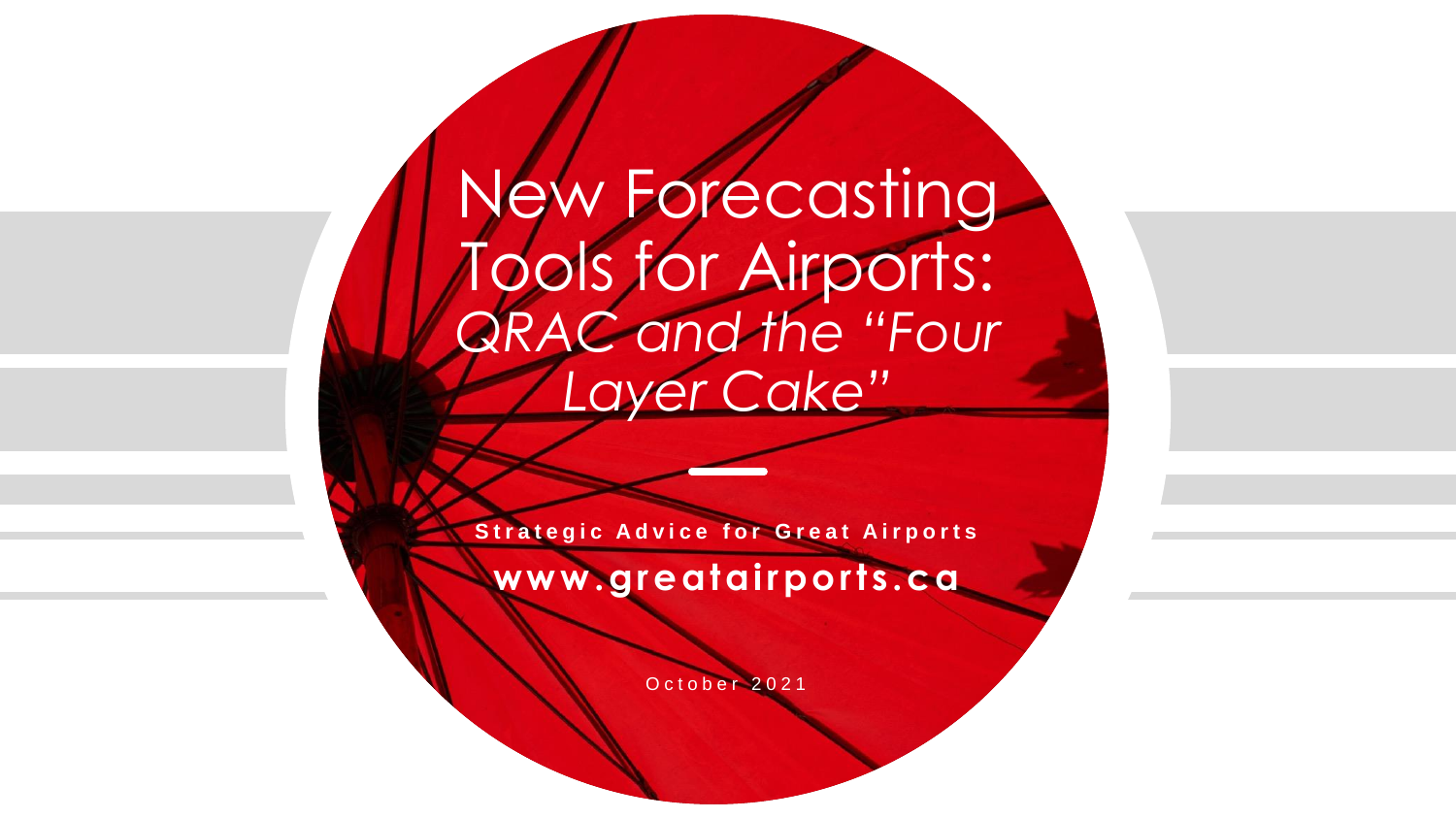# New Forecasting Tools for Airports: *QRAC and the "Four Layer Cake"*

**Strategic Advice for Great Airports** 

**www.greatairports.ca**

O c t o b e r 2021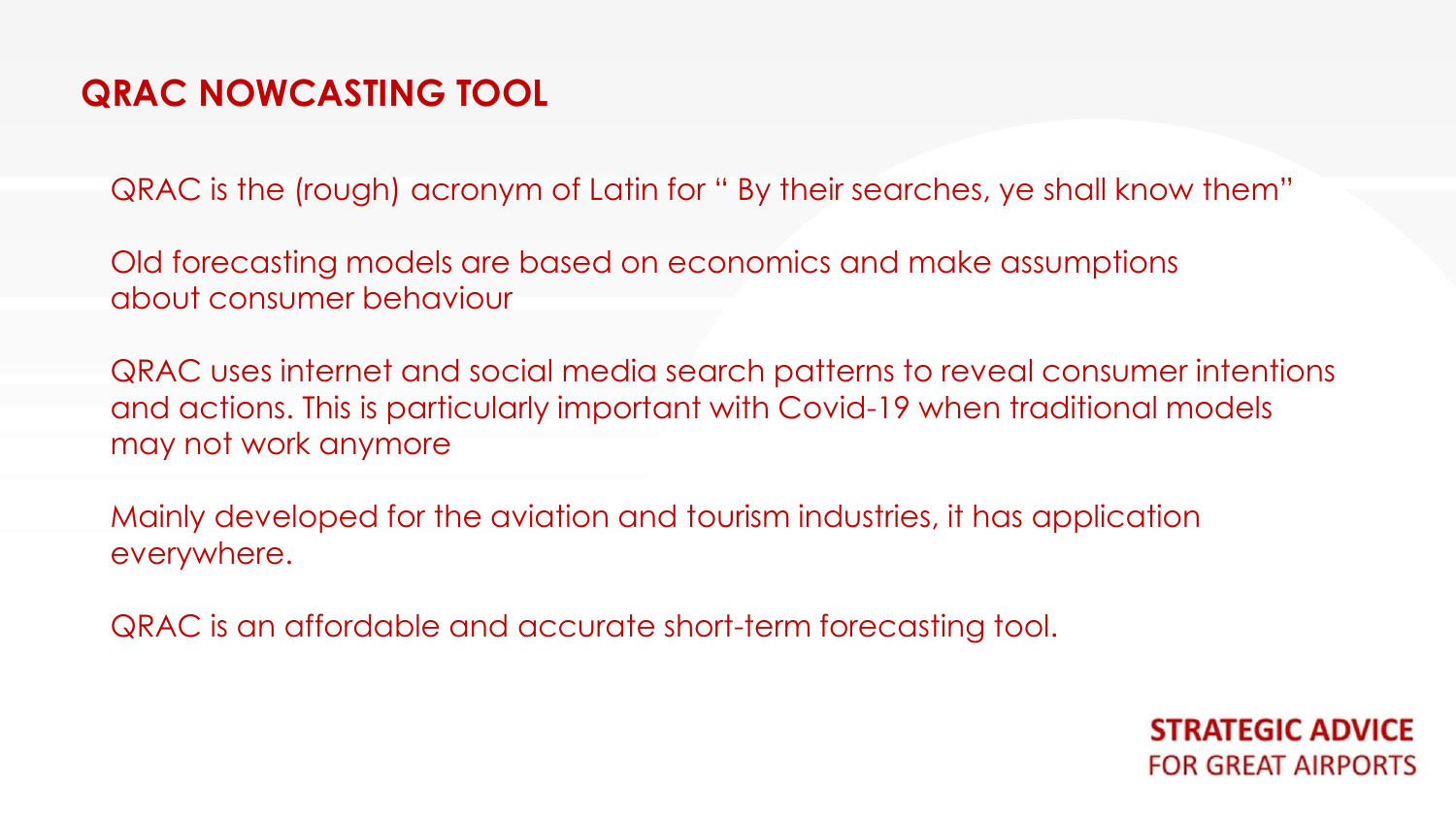QRAC is the (rough) acronym of Latin for " By their searches, ye shall know them"

Old forecasting models are based on economics and make assumptions about consumer behaviour

QRAC uses internet and social media search patterns to reveal consumer intentions and actions. This is particularly important with Covid-19 when traditional models may not work anymore

Mainly developed for the aviation and tourism industries, it has application everywhere.

QRAC is an affordable and accurate short-term forecasting tool.

**STRATEGIC ADVICE FOR GREAT AIRPORTS**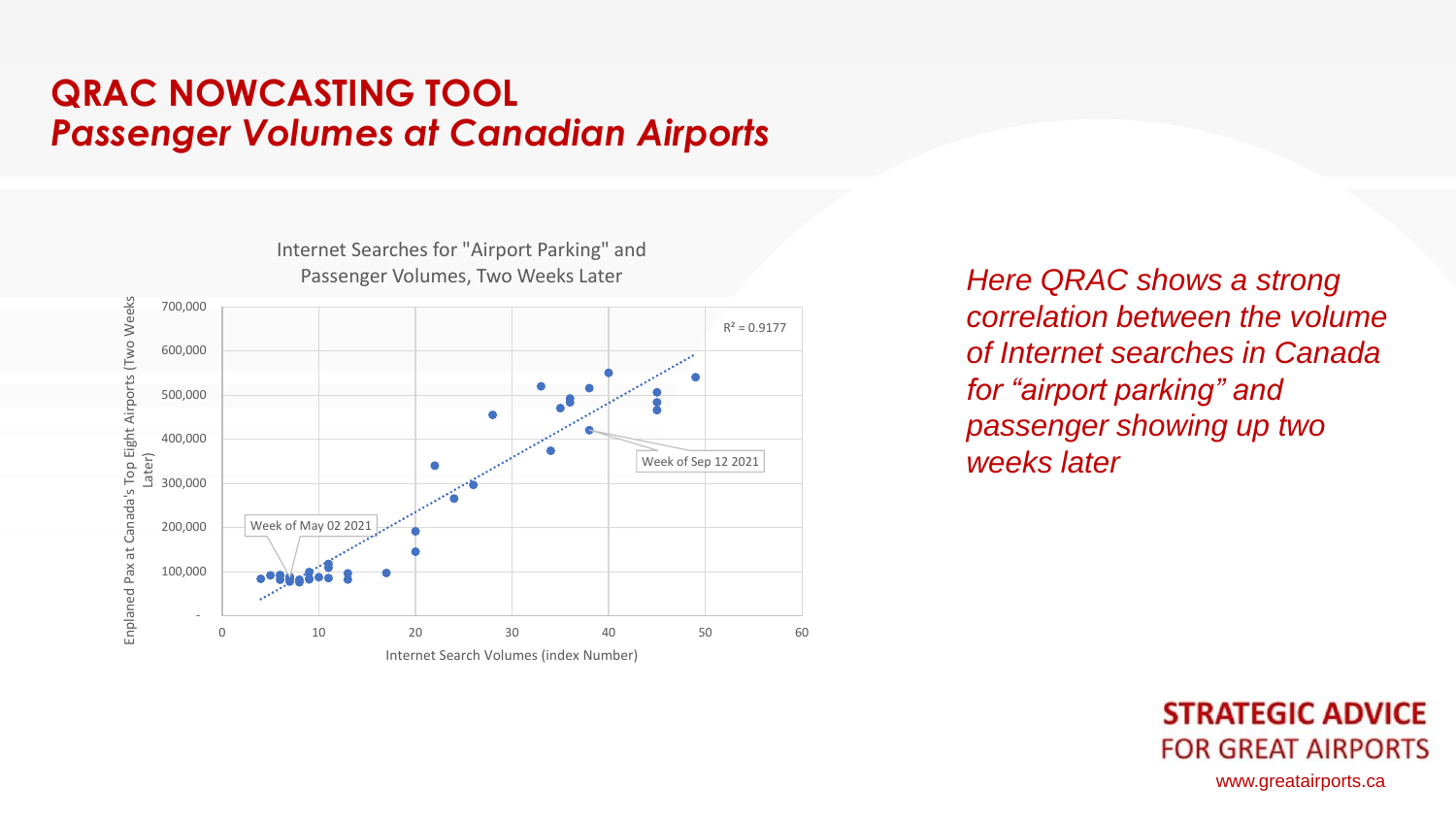#### **QRAC NOWCASTING TOOL**  *Passenger Volumes at Canadian Airports*

Internet Searches for "Airport Parking" and Passenger Volumes, Two Weeks Later Enplaned Pax at Canada's Top Eight Airports (Two Weeks Enplaned Pax at Canada's Top Eight Airports (Two Weeks 700,000  $R^2 = 0.9177$  600,000 500,000 400,000 Later) Week of Sep 12 2021 300,000 Week of May 02 2021 200,000 100,000 - 0 10 20 30 40 50 60 Internet Search Volumes (index Number)

*Here QRAC shows a strong correlation between the volume of Internet searches in Canada for "airport parking" and passenger showing up two weeks later* 

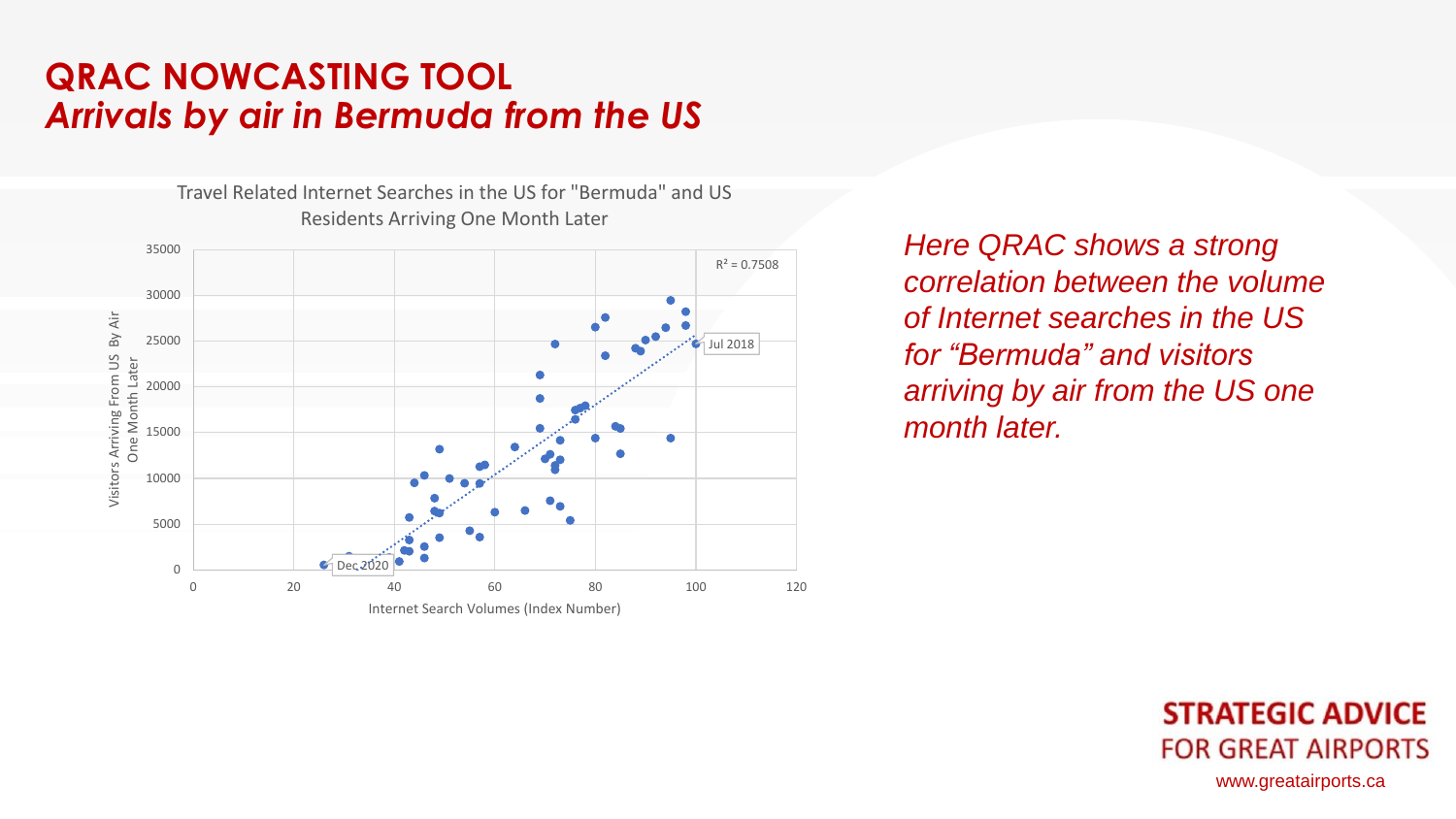## **QRAC NOWCASTING TOOL** *Arrivals by air in Bermuda from the US*

Travel Related Internet Searches in the US for "Bermuda" and US Residents Arriving One Month Later35000  $R^2 = 0.7508$ 30000 Visitors Arriving From US By Air By Air 25000 Jul 2018 Visitors Arriving From US One Month Later One Month Later 20000 15000 10000 5000  $\blacksquare$ Dec. 2020 0 0 20 40 60 80 100 120 Internet Search Volumes (Index Number)

*Here QRAC shows a strong correlation between the volume of Internet searches in the US for "Bermuda" and visitors arriving by air from the US one month later.* 

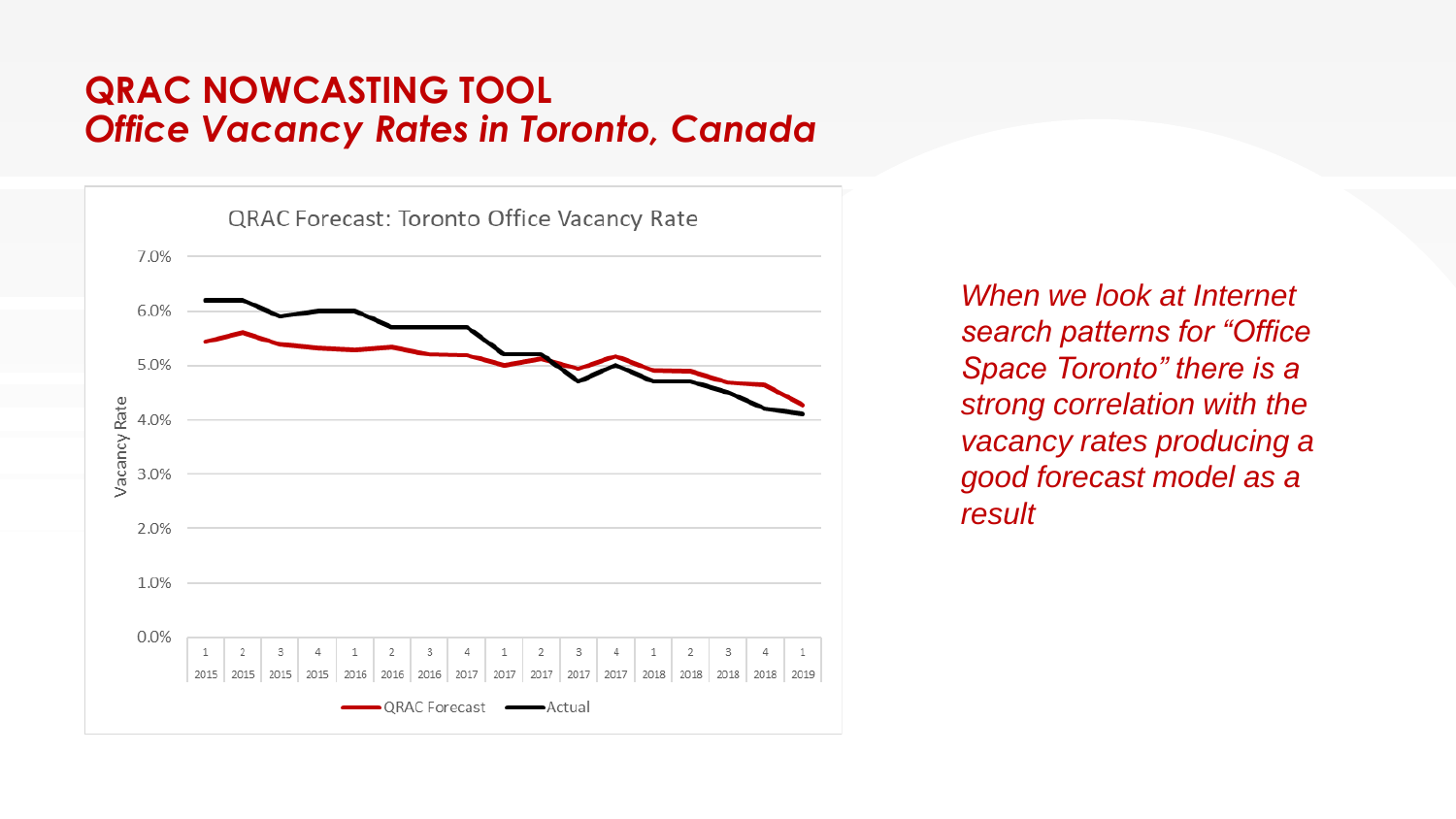## **QRAC NOWCASTING TOOL** *Office Vacancy Rates in Toronto, Canada*



*When we look at Internet search patterns for "Office Space Toronto" there is a strong correlation with the vacancy rates producing a good forecast model as a result*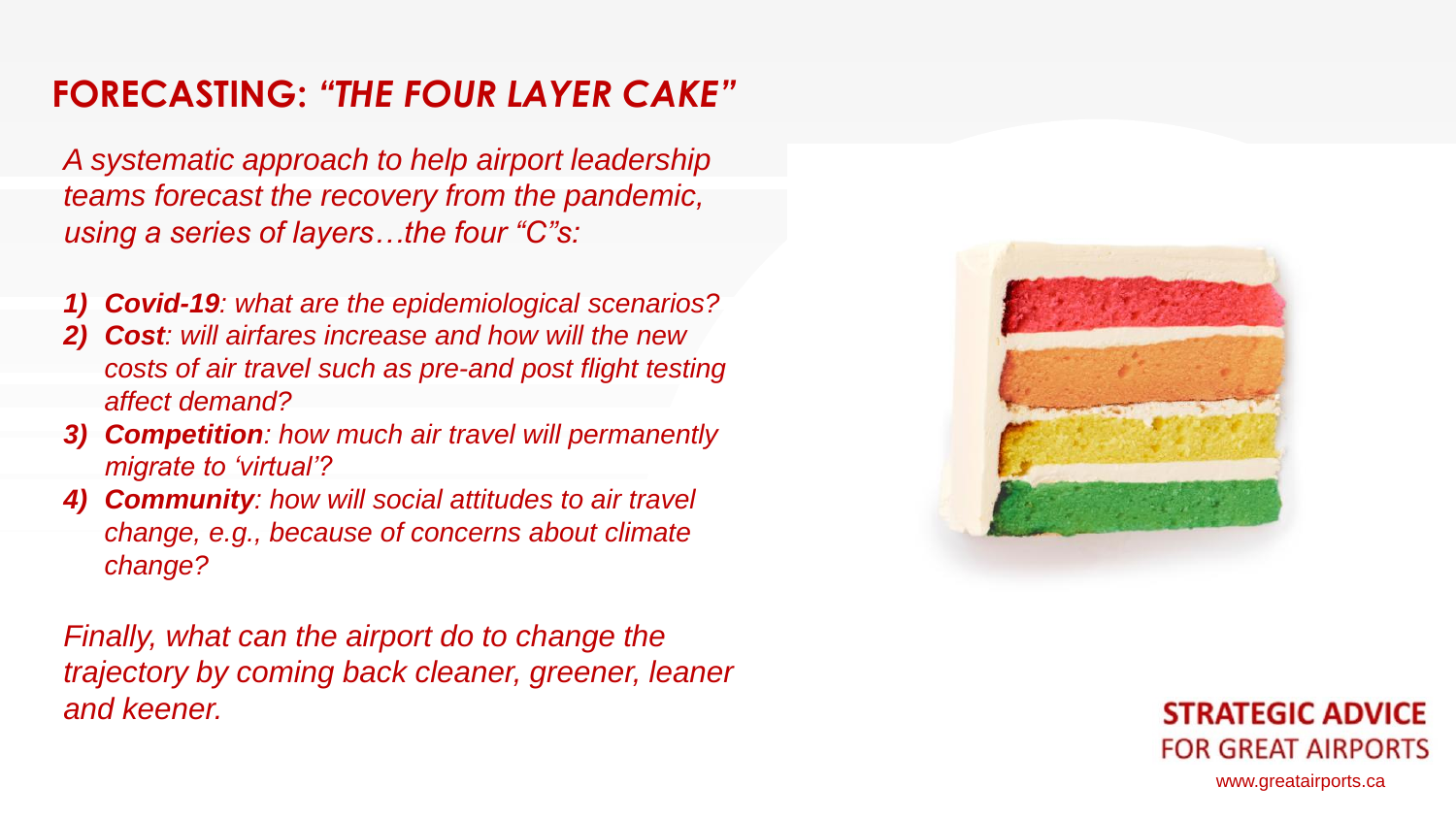# **FORECASTING:** *"THE FOUR LAYER CAKE"*

*A systematic approach to help airport leadership teams forecast the recovery from the pandemic, using a series of layers…the four "C"s:*

- *1) Covid-19: what are the epidemiological scenarios?*
- *2) Cost: will airfares increase and how will the new costs of air travel such as pre-and post flight testing affect demand?*
- *3) Competition: how much air travel will permanently migrate to 'virtual'?*
- *4) Community: how will social attitudes to air travel change, e.g., because of concerns about climate change?*

*Finally, what can the airport do to change the trajectory by coming back cleaner, greener, leaner and keener.*



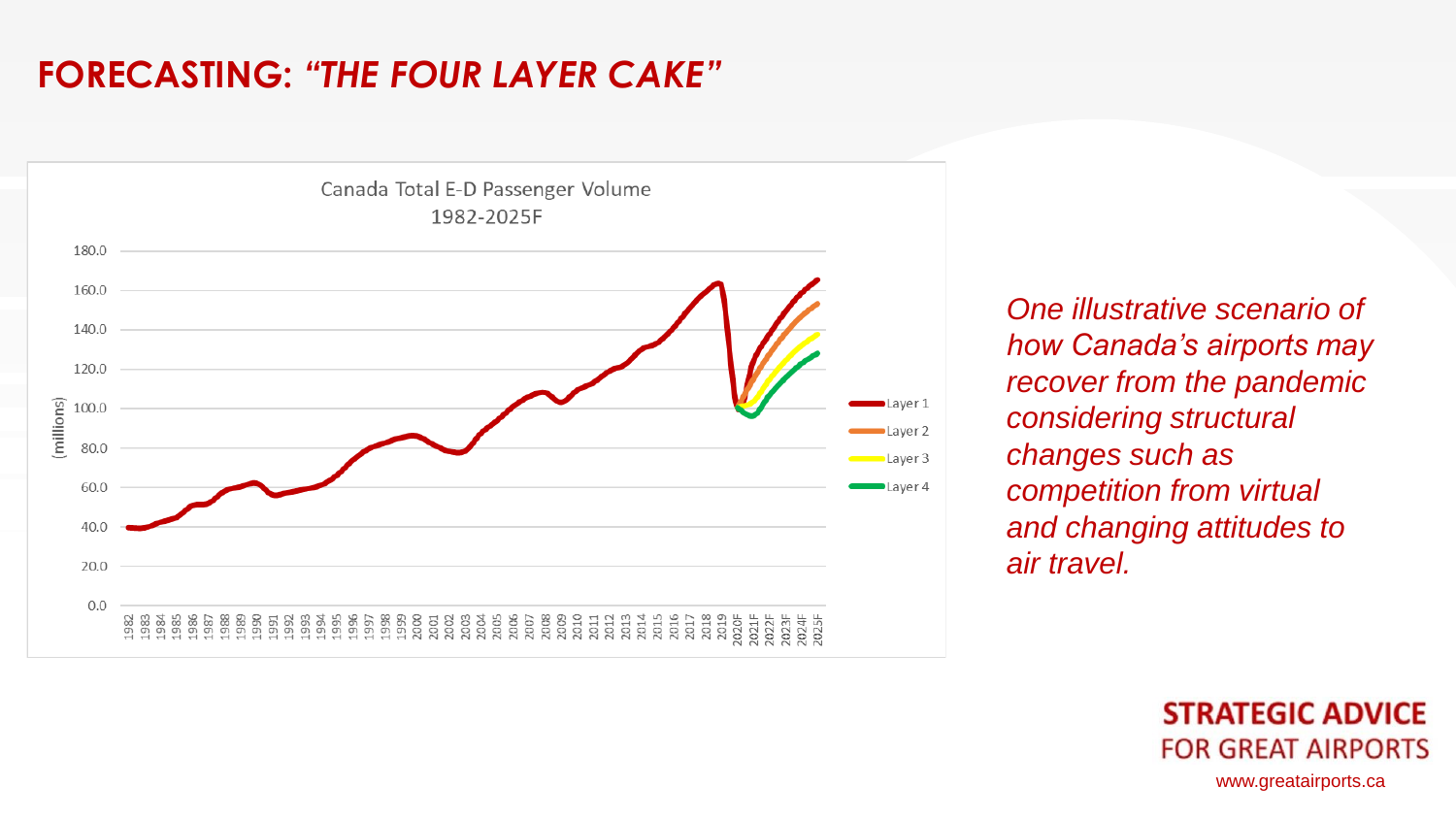# **FORECASTING:** *"THE FOUR LAYER CAKE"*



*One illustrative scenario of how Canada's airports may recover from the pandemic considering structural changes such as competition from virtual and changing attitudes to air travel.*

> **STRATEGIC ADVICE FOR GREAT AIRPORTS** www.greatairports.ca